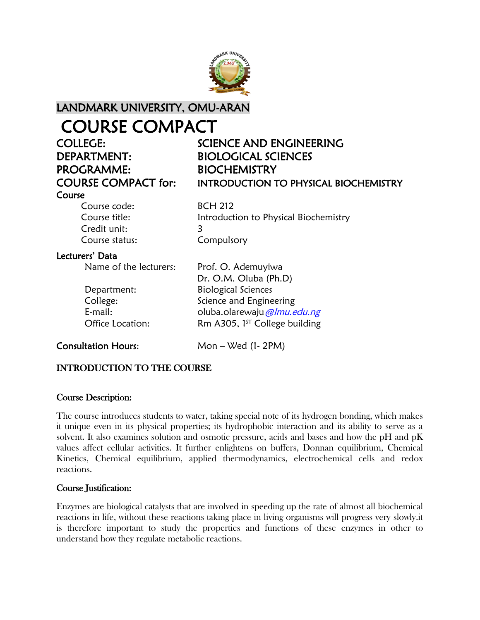

### LANDMARK UNIVERSITY, OMU-ARAN

### COURSE COMPACT

# DEPARTMENT: BIOLOGICAL SCIENCES PROGRAMME: BIOCHEMISTRY

## COLLEGE: SCIENCE AND ENGINEERING COURSE COMPACT for: INTRODUCTION TO PHYSICAL BIOCHEMISTRY

#### Course

Course code: BCH 212 Course title: Introduction to Physical Biochemistry Credit unit: 3 Course status: Compulsory

#### Lecturers' Data

Name of the lecturers: Prof. O. Ademuyiwa

 Dr. O.M. Oluba (Ph.D) Department: Biological Sciences College: Science and Engineering E-mail: cluba.olarewaju@lmu.edu.ng Office Location: Rm A305,  $1^{ST}$  College building

Consultation Hours: Mon – Wed (1- 2PM)

#### INTRODUCTION TO THE COURSE

#### Course Description:

The course introduces students to water, taking special note of its hydrogen bonding, which makes it unique even in its physical properties; its hydrophobic interaction and its ability to serve as a solvent. It also examines solution and osmotic pressure, acids and bases and how the pH and pK values affect cellular activities. It further enlightens on buffers, Donnan equilibrium, Chemical Kinetics, Chemical equilibrium, applied thermodynamics, electrochemical cells and redox reactions.

#### Course Justification:

Enzymes are biological catalysts that are involved in speeding up the rate of almost all biochemical reactions in life, without these reactions taking place in living organisms will progress very slowly.it is therefore important to study the properties and functions of these enzymes in other to understand how they regulate metabolic reactions.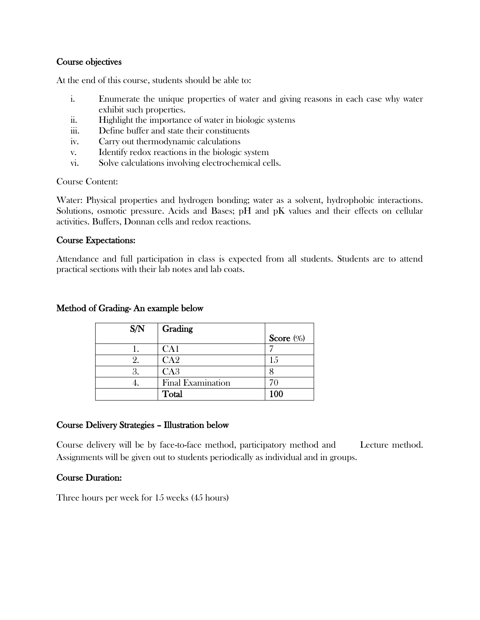#### Course objectives

At the end of this course, students should be able to:

- i. Enumerate the unique properties of water and giving reasons in each case why water exhibit such properties.
- ii. Highlight the importance of water in biologic systems
- iii. Define buffer and state their constituents
- iv. Carry out thermodynamic calculations
- v. Identify redox reactions in the biologic system
- vi. Solve calculations involving electrochemical cells.

Course Content:

Water: Physical properties and hydrogen bonding; water as a solvent, hydrophobic interactions. Solutions, osmotic pressure. Acids and Bases; pH and pK values and their effects on cellular activities. Buffers, Donnan cells and redox reactions.

#### Course Expectations:

Attendance and full participation in class is expected from all students. Students are to attend practical sections with their lab notes and lab coats.

| S/N | Grading                  |              |
|-----|--------------------------|--------------|
|     |                          | Score $(\%)$ |
|     | CA1                      |              |
|     | CA2                      | 15           |
|     | CA <sub>3</sub>          |              |
| ł.  | <b>Final Examination</b> |              |
|     | Total                    | 100          |

#### Method of Grading- An example below

#### Course Delivery Strategies – Illustration below

Course delivery will be by face-to-face method, participatory method and Lecture method. Assignments will be given out to students periodically as individual and in groups.

#### Course Duration:

Three hours per week for 15 weeks (45 hours)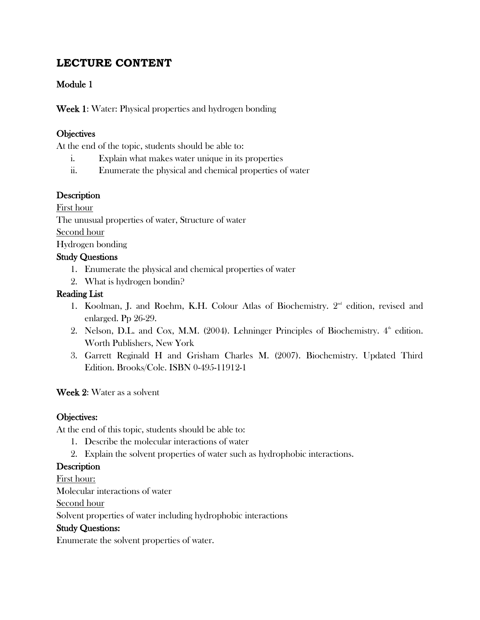#### **LECTURE CONTENT**

#### Module 1

Week 1: Water: Physical properties and hydrogen bonding

#### **Objectives**

At the end of the topic, students should be able to:

- i. Explain what makes water unique in its properties
- ii. Enumerate the physical and chemical properties of water

#### **Description**

First hour

The unusual properties of water, Structure of water

Second hour

Hydrogen bonding

#### Study Questions

- 1. Enumerate the physical and chemical properties of water
- 2. What is hydrogen bondin?

#### Reading List

- 1. Koolman, J. and Roehm, K.H. Colour Atlas of Biochemistry. 2<sup>nd</sup> edition, revised and enlarged. Pp 26-29.
- 2. Nelson, D.L. and Cox, M.M. (2004). Lehninger Principles of Biochemistry.  $4^{\text{th}}$  edition. Worth Publishers, New York
- 3. Garrett Reginald H and Grisham Charles M. (2007). Biochemistry. Updated Third Edition. Brooks/Cole. ISBN 0-495-11912-1

#### Week 2: Water as a solvent

#### Objectives:

At the end of this topic, students should be able to:

- 1. Describe the molecular interactions of water
- 2. Explain the solvent properties of water such as hydrophobic interactions.

#### **Description**

First hour:

Molecular interactions of water

Second hour

Solvent properties of water including hydrophobic interactions

#### Study Questions:

Enumerate the solvent properties of water.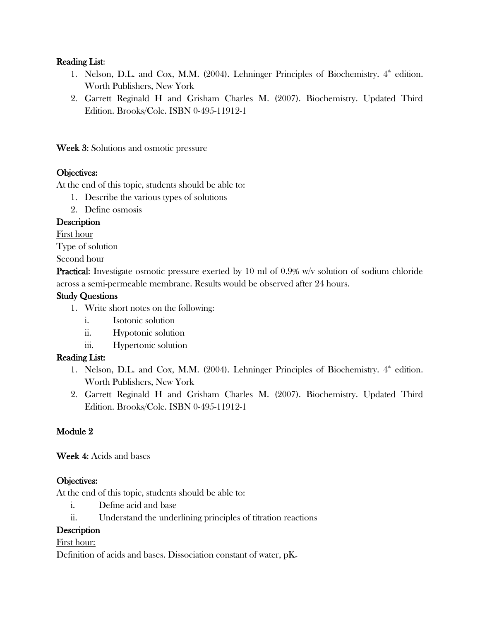#### Reading List:

- 1. Nelson, D.L. and Cox, M.M. (2004). Lehninger Principles of Biochemistry.  $4^{\text{th}}$  edition. Worth Publishers, New York
- 2. Garrett Reginald H and Grisham Charles M. (2007). Biochemistry. Updated Third Edition. Brooks/Cole. ISBN 0-495-11912-1

Week 3: Solutions and osmotic pressure

#### Objectives:

At the end of this topic, students should be able to:

- 1. Describe the various types of solutions
- 2. Define osmosis

#### **Description**

First hour

Type of solution

Second hour

**Practical:** Investigate osmotic pressure exerted by 10 ml of 0.9% w/v solution of sodium chloride across a semi-permeable membrane. Results would be observed after 24 hours.

#### Study Questions

- 1. Write short notes on the following:
	- i. Isotonic solution
	- ii. Hypotonic solution
	- iii. Hypertonic solution

#### Reading List:

- 1. Nelson, D.L. and Cox, M.M. (2004). Lehninger Principles of Biochemistry.  $4^{\text{th}}$  edition. Worth Publishers, New York
- 2. Garrett Reginald H and Grisham Charles M. (2007). Biochemistry. Updated Third Edition. Brooks/Cole. ISBN 0-495-11912-1

#### Module 2

Week 4: Acids and bases

#### Objectives:

At the end of this topic, students should be able to:

- i. Define acid and base
- ii. Understand the underlining principles of titration reactions

#### **Description**

#### First hour:

Definition of acids and bases. Dissociation constant of water,  $pK_w$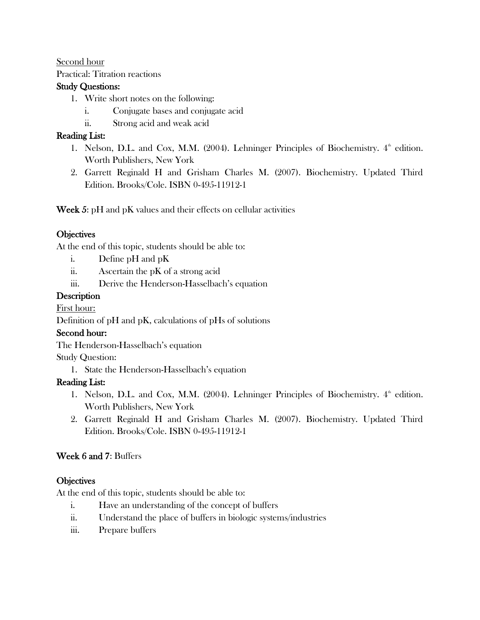#### Second hour

Practical: Titration reactions

#### Study Questions:

- 1. Write short notes on the following:
	- i. Conjugate bases and conjugate acid
	- ii. Strong acid and weak acid

#### Reading List:

- 1. Nelson, D.L. and Cox, M.M. (2004). Lehninger Principles of Biochemistry.  $4^{\text{th}}$  edition. Worth Publishers, New York
- 2. Garrett Reginald H and Grisham Charles M. (2007). Biochemistry. Updated Third Edition. Brooks/Cole. ISBN 0-495-11912-1

Week 5: pH and pK values and their effects on cellular activities

#### **Objectives**

At the end of this topic, students should be able to:

- i. Define pH and pK
- ii. Ascertain the pK of a strong acid
- iii. Derive the Henderson-Hasselbach's equation

#### **Description**

#### First hour:

Definition of pH and pK, calculations of pHs of solutions

#### Second hour:

The Henderson-Hasselbach's equation

#### Study Question:

1. State the Henderson-Hasselbach's equation

#### Reading List:

- 1. Nelson, D.L. and Cox, M.M. (2004). Lehninger Principles of Biochemistry.  $4^{\text{th}}$  edition. Worth Publishers, New York
- 2. Garrett Reginald H and Grisham Charles M. (2007). Biochemistry. Updated Third Edition. Brooks/Cole. ISBN 0-495-11912-1

#### Week 6 and 7: Buffers

#### **Objectives**

At the end of this topic, students should be able to:

- i. Have an understanding of the concept of buffers
- ii. Understand the place of buffers in biologic systems/industries
- iii. Prepare buffers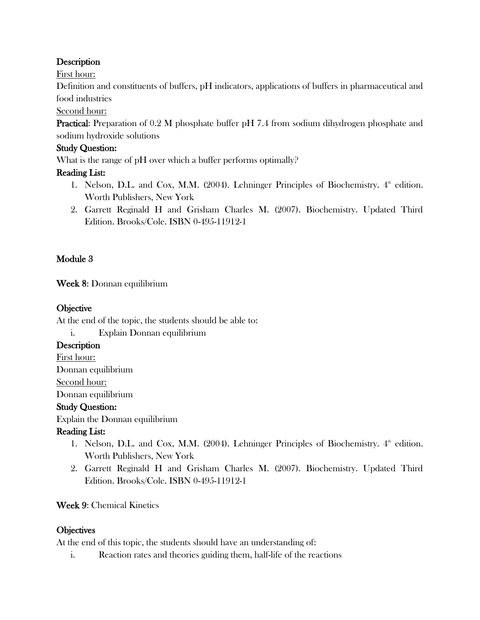#### **Description**

First hour:

Definition and constituents of buffers, pH indicators, applications of buffers in pharmaceutical and food industries

Second hour:

**Practical:** Preparation of 0.2 M phosphate buffer pH 7.4 from sodium dihydrogen phosphate and sodium hydroxide solutions

#### Study Question:

What is the range of pH over which a buffer performs optimally?

#### Reading List:

- 1. Nelson, D.L. and Cox, M.M. (2004). Lehninger Principles of Biochemistry.  $4^{\text{th}}$  edition. Worth Publishers, New York
- 2. Garrett Reginald H and Grisham Charles M. (2007). Biochemistry. Updated Third Edition. Brooks/Cole. ISBN 0-495-11912-1

#### Module 3

Week 8: Donnan equilibrium

#### **Objective**

At the end of the topic, the students should be able to:

i. Explain Donnan equilibrium

#### **Description**

First hour: Donnan equilibrium Second hour: Donnan equilibrium

#### Study Question:

Explain the Donnan equilibrium

#### Reading List:

- 1. Nelson, D.L. and Cox, M.M. (2004). Lehninger Principles of Biochemistry.  $4^{\text{th}}$  edition. Worth Publishers, New York
- 2. Garrett Reginald H and Grisham Charles M. (2007). Biochemistry. Updated Third Edition. Brooks/Cole. ISBN 0-495-11912-1

#### Week 9: Chemical Kinetics

#### **Objectives**

At the end of this topic, the students should have an understanding of:

i. Reaction rates and theories guiding them, half-life of the reactions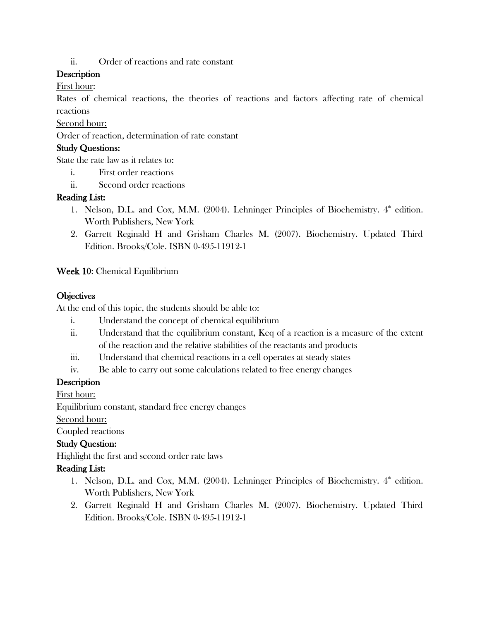ii. Order of reactions and rate constant

#### **Description**

First hour:

Rates of chemical reactions, the theories of reactions and factors affecting rate of chemical reactions

Second hour:

Order of reaction, determination of rate constant

#### Study Questions:

State the rate law as it relates to:

- i. First order reactions
- ii. Second order reactions

#### Reading List:

- 1. Nelson, D.L. and Cox, M.M. (2004). Lehninger Principles of Biochemistry.  $4^{\text{th}}$  edition. Worth Publishers, New York
- 2. Garrett Reginald H and Grisham Charles M. (2007). Biochemistry. Updated Third Edition. Brooks/Cole. ISBN 0-495-11912-1

Week 10: Chemical Equilibrium

#### **Objectives**

At the end of this topic, the students should be able to:

- i. Understand the concept of chemical equilibrium
- ii. Understand that the equilibrium constant, Keq of a reaction is a measure of the extent of the reaction and the relative stabilities of the reactants and products
- iii. Understand that chemical reactions in a cell operates at steady states
- iv. Be able to carry out some calculations related to free energy changes

#### **Description**

First hour:

Equilibrium constant, standard free energy changes

Second hour:

Coupled reactions

#### Study Question:

Highlight the first and second order rate laws

#### Reading List:

- 1. Nelson, D.L. and Cox, M.M. (2004). Lehninger Principles of Biochemistry.  $4^{\text{th}}$  edition. Worth Publishers, New York
- 2. Garrett Reginald H and Grisham Charles M. (2007). Biochemistry. Updated Third Edition. Brooks/Cole. ISBN 0-495-11912-1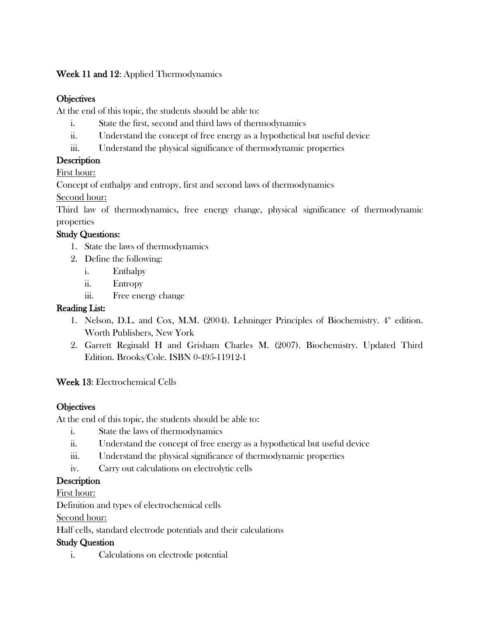#### Week 11 and 12: Applied Thermodynamics

#### **Objectives**

At the end of this topic, the students should be able to:

- i. State the first, second and third laws of thermodynamics
- ii. Understand the concept of free energy as a hypothetical but useful device
- iii. Understand the physical significance of thermodynamic properties

#### **Description**

First hour:

Concept of enthalpy and entropy, first and second laws of thermodynamics

Second hour:

Third law of thermodynamics, free energy change, physical significance of thermodynamic properties

#### Study Questions:

- 1. State the laws of thermodynamics
- 2. Define the following:
	- i. Enthalpy
	- ii. Entropy
	- iii. Free energy change

#### Reading List:

- 1. Nelson, D.L. and Cox, M.M. (2004). Lehninger Principles of Biochemistry.  $4^{\text{th}}$  edition. Worth Publishers, New York
- 2. Garrett Reginald H and Grisham Charles M. (2007). Biochemistry. Updated Third Edition. Brooks/Cole. ISBN 0-495-11912-1

Week 13: Electrochemical Cells

#### **Objectives**

At the end of this topic, the students should be able to:

- i. State the laws of thermodynamics
- ii. Understand the concept of free energy as a hypothetical but useful device
- iii. Understand the physical significance of thermodynamic properties
- iv. Carry out calculations on electrolytic cells

#### Description

First hour:

Definition and types of electrochemical cells

Second hour:

Half cells, standard electrode potentials and their calculations

#### Study Question

i. Calculations on electrode potential